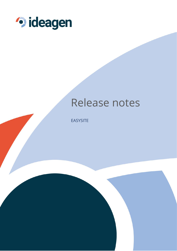

# Release notes

**EASYSITE**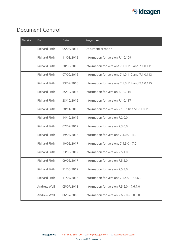

## Document Control

| Version | By                   | Date       | Regarding                                        |
|---------|----------------------|------------|--------------------------------------------------|
| 1.0     | Richard Firth        | 05/08/2015 | Document creation                                |
|         | <b>Richard Firth</b> | 11/08/2015 | Information for version 7.1.0.109                |
|         | <b>Richard Firth</b> | 30/08/2015 | Information for versions 7.1.0.110 and 7.1.0.111 |
|         | <b>Richard Firth</b> | 07/09/2016 | Information for versions 7.1.0.112 and 7.1.0.113 |
|         | <b>Richard Firth</b> | 23/09/2016 | Information for versions 7.1.0.114 and 7.1.0.115 |
|         | <b>Richard Firth</b> | 25/10/2016 | Information for version 7.1.0.116                |
|         | <b>Richard Firth</b> | 28/10/2016 | Information for version 7.1.0.117                |
|         | <b>Richard Firth</b> | 28/11/2016 | Information for version 7.1.0.118 and 7.1.0.119  |
|         | <b>Richard Firth</b> | 14/12/2016 | Information for version 7.2.0.0                  |
|         | <b>Richard Firth</b> | 07/02/2017 | Information for version 7.3.0.0                  |
|         | Richard Firth        | 19/04/2017 | Information for versions 7.4.0.0 - 4.0           |
|         | <b>Richard Firth</b> | 10/05/2017 | Information for versions 7.4.5.0 - 7.0           |
|         | <b>Richard Firth</b> | 23/05/2017 | Information for version 7.5.1.0                  |
|         | Richard Firth        | 09/06/2017 | Information for version 7.5.2.0                  |
|         | <b>Richard Firth</b> | 21/06/2017 | Information for version 7.5.3.0                  |
|         | <b>Richard Firth</b> | 11/07/2017 | Information for versions 7.5.4.0 - 7.5.6.0       |
|         | Andrew Wall          | 05/07/2018 | Information for version $7.5.6.0 - 7.6.7.0$      |
|         | Andrew Wall          | 06/07/2018 | Information for version 7.6.7.0 - 8.0.0.0        |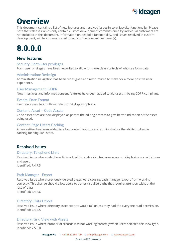

## **Overview**

This document contains a list of new features and resolved issues in core Easysite functionality. Please note that releases which only contain custom development commissioned by individual customers are not included in this document. Information on bespoke functionality, and issues resolved in custom development, will be communicated directly to the relevant customer(s).

# 8.0.0.0

## **New features**

### Security: Form user privileges

Form user privileges have been reworked to allow for more clear controls of who see form data.

### Administration: Redesign

Administration navigation has been redesigned and restructured to make for a more positive user experience.

#### User Management: GDPR

New interfaces and informed consent features have been added to aid users in being GDPR compliant.

### Events: Date Format

Event date now has multiple date format display options.

### Content: Asset – Code Assets

Code asset titles are now displayed as part of the editing process to give better indication of the asset being used.

#### Content: Page Listers Caching

A new setting has been added to allow content authors and administrators the ability to disable caching for singular listers.

## **Resolved issues**

### Directory: Telephone Links

Resolved issue where telephone links added through a rich text area were not displaying correctly to an end user. Identified: 7.4.7.3

### Path Manager - Export

Resolved issue where previously deleted pages were causing path manager export from working correctly. This change should allow users to better visualise paths that require attention without the loss of data.

Identified: 7.4.7.6

### Directory: Data Export

Resolved issue where directory asset exports would fail unless they had the everyone read permission. Identified: 7.4.7.5

### Directory: Grid View with Assets

Resolved issue where number of records was not working correctly when users selected this view type. Identified: 7.5.6.0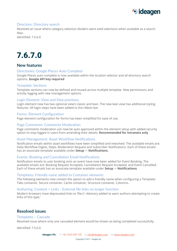

### Directory: Directory search

Resolved an issue where category selection dividers were valid selections when available as a search filter

Identified: 7.5.6.0

# 7.6.7.0

## **New features**

### Directories: Google Places Auto Complete

Google Places auto complete is now available within the location selector and all directory search options. **Google API key required**

### Template: Sections

Template sections can now be defined and reused across multiple template. New permissions and activity logging with new management options.

### Login Element: View and Step previews.

Login element now has two optional view's classic and lean. The new lean view has additional styling features. All login steps have been added to the ribbon bar.

### Forms: Element Configuration

Page element configuration for forms has been simplified for ease of use.

#### Page Comments: Comments Moderation

Page comments moderation can now be auto approved within the element setup with added security option to stop logged in users from amending their details. **Recommended for Intranets only**

### Asset Management: Asset Workflow Notifications

Notification emails within asset workflows have been simplified and reworked. The available emails are: Daily Workflow Digest, Steps, Moderation Request and Subscriber Notifications. Each of these emails has an associate template available under **Setup** -> **Notifications**.

### Events: Booking and Cancellation Email Notifications

Notification emails to user booking onto an event have now been added for Event Booking. The available emails are: Booking Request Accepted, Cancellation Request Accepted, and Event Cancelled. Each of these emails has an associate template available under **Setup** -> **Notifications**.

#### Templates: Friendly name added to Container elements

The following elements now contain the option to add a friendly name when configuring a Template: Tabs container, Secure container, Cache container, Structure container, Columns.

### Authoring: Content > Links - External file links no longer function

Modern browsers have deprecated links to 'file://. Advisory added to warn authors attempting to create links of this type.'

## **Resolved issues**

#### Templates – Cascade

Resolved issue where only one cascaded element would be shown as being completed successfully.

Identified: 7.5.6.0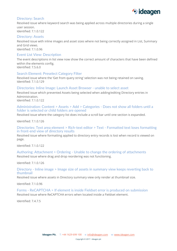

### Directory: Search

Resolved issue where keyword search was being applied across multiple directories during a single user session. Identified: 7.1.0.122

Directory: Assets

Resolved issue with inline images and asset sizes where not being correctly assigned in List, Summary and Grid views.

Identified: 7.1.0.96

### Event List View: Description

The event descriptions in list view now show the correct amount of characters that have been defined within the elements config. Identified: 7.5.6.0

### Search Element: Preselect Category Filter

Resolved issue where the 'Get from query string' selection was not being retained on saving. Identified: 7.1.0.129

### Directories: Inline Image: Launch Asset Browser - unable to select asset

Resolved issue which prevented Assets being selected when adding/editing Directory entries in Administration.

Identified: 7.1.0.122

### Administration: Content > Assets > Add > Categories - Does not show all folders until a folder is selected or child folders are opened

Resolved issue where the category list does include a scroll bar until one section is expanded.

Identified: 7.1.0.126

### Directories: Text area element > Rich-text editor > Text - Formatted text loses formatting in front-end view of directory results

Resolved issue where formatting applied to directory entry records is lost when record is viewed on page.

Identified: 7.1.0.122

Authoring: Attachment > Ordering - Unable to change the ordering of attachments Resolved issue where drag and drop reordering was not functioning.

Identified: 7.1.0.126

### Directory - Inline image > Image size of assets in summary view keeps reverting back to thumbnail

Resolved issue where assets in Directory summary view only render at thumbnail size.

Identified: 7.1.0.96

Forms - ReCAPTCHA > If element is inside Fieldset error is produced on submission Resolved issue where ReCAPTCHA errors when located inside a Fieldset element.

Identified: 7.4.7.5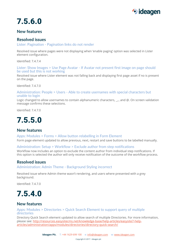

# 7.5.6.0

## **New features**

## **Resolved issues**

### Lister: Pagination - Pagination links do not render

Resolved issue where pages were not displaying when 'enable paging' option was selected in Lister element configuration.

Identified: 7.4.7.4

#### Lister: Show Images > Use Page Avatar - If Avatar not present first image on page should be used but this is not working

Resolved issue where Lister element was not falling back and displaying first page asset if no is present on the page.

Identified: 7.4.7.0

### Administration: People > Users - Able to create usernames with special characters but unable to login

Logic changed to allow usernames to contain alphanumeric characters,  $\ldots$ , and @. On screen validation message confirms these selections.

Identified: 7.4.7.0



## **New features**

Apps: Modules > Forms > Allow button relabelling in Form Element

Form page element updated to allow previous, next, restart and save buttons to be labelled manually.

### Administration: Setup > Workflow > Exclude author from step notifications

Workflow now includes an option to exclude the content author from individual step notifications. If this option is selected the author will only receive notification of the outcome of the workflow process.

## **Resolved issues**

Administration: Admin Theme - Background Styling incorrect

Resolved issue where Admin theme wasn't rendering, and users where presented with a grey background.

Identified: 7.4.7.0



## **New features**

Apps: Modules > Directories > Quick Search Element to support query of multiple directories

Directory Quick Search element updated to allow search of multiple Directories. For more information, please see: [http://resources.easysitecms.net/knowledge-base/help-articles/easysite7-help](http://resources.easysitecms.net/knowledge-base/help-articles/easysite7-help-articles/administration/apps/modules/directories/directory-quick-search/)[articles/administration/apps/modules/directories/directory-quick-search/](http://resources.easysitecms.net/knowledge-base/help-articles/easysite7-help-articles/administration/apps/modules/directories/directory-quick-search/)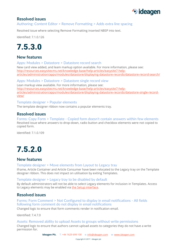

## **Resolved issues**

## Authoring: Content Editor > Remove Formatting > Adds extra line spacing

Resolved issue where selecting Remove Formatting inserted NBSP into text.

Identified: 7.1.0.126



## **New features**

Apps: Modules > Datastore > Datastore record search

New card view added, and leam markup option available. For more information, please see: [http://resources.easysitecms.net/knowledge-base/help-articles/easysite7-help](http://resources.easysitecms.net/knowledge-base/help-articles/easysite7-help-articles/administration/apps/modules/datastore/displaying-datastore-records/datastore-record-search/)[articles/administration/apps/modules/datastore/displaying-datastore-records/datastore-record-search/](http://resources.easysitecms.net/knowledge-base/help-articles/easysite7-help-articles/administration/apps/modules/datastore/displaying-datastore-records/datastore-record-search/)

Apps: Modules > Datastore > Datastore single record view Lean markup view available. For more information, please see: [http://resources.easysitecms.net/knowledge-base/help-articles/easysite7-help](http://resources.easysitecms.net/knowledge-base/help-articles/easysite7-help-articles/administration/apps/modules/datastore/displaying-datastore-records/datastore-single-record-view/)[articles/administration/apps/modules/datastore/displaying-datastore-records/datastore-single-record](http://resources.easysitecms.net/knowledge-base/help-articles/easysite7-help-articles/administration/apps/modules/datastore/displaying-datastore-records/datastore-single-record-view/)[view/](http://resources.easysitecms.net/knowledge-base/help-articles/easysite7-help-articles/administration/apps/modules/datastore/displaying-datastore-records/datastore-single-record-view/)

### Template designer > Popular elements

The template designer ribbon now contains a popular elements tray.

## **Resolved issues**

Forms: Copy Form > Template - Copied form doesn't contain answers within few elements Resolved issue where answers to drop-down, radio button and checkbox elements were not copied to copied form.

Identified: 7.1.0.109

# 7.5.2.0

## **New features**

Template designer > Move elements from Layout to Legacy tray

Iframe, Article Container and Article Consumer have been relocated to the Legacy tray on the Template designer ribbon. This does not impact on utilisation by exiting Templates.

### Template designer > Legacy tray to be disabled by default

By default administrators will not be able to select Legacy elements for inclusion in Templates. Access to Legacy elements may be enabled vi[a the Setup interface.](http://resources.easysitecms.net/knowledge-base/help-articles/easysite7-help-articles/setup/system/design/templates/)

## **Resolved issues**

### Forms: Form Comment > Not Configured to display in email notifications - All fields following form comment do not display in email notifications

Changed logic to ensure that form comments render in notification email.

Identified: 7.4.7.0

### Assets: Removed ability to upload Assets to groups without write permissions

Changed logic to ensure that authors cannot upload assets to categories they do not have a write permission for.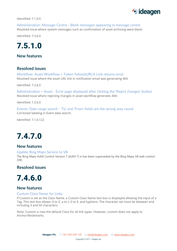

Identified: 7.1.0.0

Administration: Message Centre - Blank messages appearing in message centre Resolved issue where system messages such as confirmation of asset archiving were blank.

Identified: 7.3.6.0



**New features**

## **Resolved issues**

Workflow: Asset Workflow > Token %AssetURL% Link returns error Resolved issue where the asset URL link in notification email was generating 404.

Identified: 7.3.6.0

Administration > Asset - Error page displayed after clicking the 'Reject changes' button Resolved issue where rejecting changes in asset workflow generates 404.

Identified: 7.3.6.0

Events: Date range search - 'To' and 'From' fields are the wrong way round Corrected labeling in Event date search.

Identified: 7.1.0.122

# 7.4.7.0

## **New features**

#### Update Bing Maps Service to V8

The Bing Maps AJAX Control Version 7 (AJAX 7) is has been superseded by the Bing Maps V8 web control (V8).

### **Resolved issues**

# 7.4.6.0

## **New features**

### Custom Class Name for Links

If Custom is set as the Class Name, a Custom Class Name text box is displayed allowing the input of a Tag. This text box allows: A to Z, a to z, 0 to 9, and hyphens. The character set must be between and including 3 and 50 characters.

Note: Custom is now the default Class for all link types. However, custom does not apply to Anchor/Bookmarks.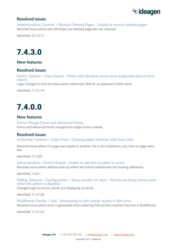

## **Resolved issues**

Administration: Content > Restore Deleted Pages - Unable to restore deleted pages Resolved issue where site refreshed, but deleted page was not restored.

Identified: 6.5.15.11

# 7.4.3.0

**New features**

## **Resolved issues**

Forms: Options > Data Export - Fields with identical names have duplicated data in form export

Logic changed so that the data export references field ID, as opposed to field name.

Identified: 7.1.0.119

## 7.4.0.0

## **New features**

Forms: Merge Forms and Advanced Forms Forms and Advanced forms merged into single Forms module.

## **Resolved issues**

Authoring: Content > Copy From - Copying pages between sites loses links

Resolved issue where if a page was copied to another site in the installation, any links on page were lost.

Identified: 7.1.0.87

Administration > Event Module- Unable to add the Location to event Resolved issue where address look up within the Events module was not locating addresses.

Identified: 7.3.6.1

Polling: Element > Configuration > Show number of votes - Results are being shown even when the option is disabled.

Changed logic to ensure results are displaying correctly.

Identified: 7.1.0.126

BuildPortal: Portlet > Edit - Attempting to edit portlet results in 404 error Resolved issue where error is generated when selecting 'Edit portlet contents' function in BuildPortal.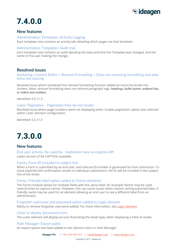

# 7.4.0.0

## **New features**

Administration: Templates: Activity Logging. Each template now contains an activity tab, detailing which pages use that template.

### Administration: Templates: Audit trail.

Each template now contains an audit detailing the date and time the Template was changed, and the name of the user making the change.

## **Resolved issues**

Authoring: Content Editor > Remove Formatting > Does not removing formatting and adds extra line spacing

Resolved issue where scheduled the remove formatting function added an extra line break into content. Note: remove formatting does not remove paragraph tags, headings, bullet points, ordered lists, or indent and outdent.

Identified: 6.5.11.3

### Lister: Pagination - Pagination links do not render

Resolved issue where page numbers were not displaying when 'enable pagination' option was selected within Lister element configuration.

Identified: 6.5.11.3

# 7.3.0.0

## **New features**

End user activity: Re-captcha - Implement new re-captcha API Latest version of Re-CAPTCHA available.

### Forms: Form ID included in subject line

When a Form is submitted by an end user, and internal ID number is generated for that submission. To more explicitly link confirmation emails to individual submissions, the ID will be included in the subject line of the email.

### Forms: Friendly label option added to Forms elements

The Forms module allows for multiple fields with the same label, for example 'Name' may be used several times to capture names. However, this can cause issues when column sorting exported data. A friendly name may be used for an element allowing an end user to see a different label from an administrator.

#### Forgotten username and password option added to Login element

Ability to retrieve forgotten username added. For more information, see [Login element.](http://resources.easysitecms.net/knowledge-base/help-articles/easysite7-help-articles/administration/design/templates/add/layout/people/login/)

### Lister to display document icons

The Lister element will display an icon illustrating the Asset type, when displaying a Feed of assets.

### Path Manager: Export paths

An export option has been added to the Options menu in Path Manager.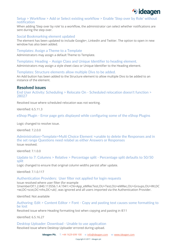

### Setup > Workflow > Add or Select existing workflow > Enable 'Step over by Role' without notification

When adding 'Step over by role' to a workflow, the administrator can select whether notifications are sent during the step over.

### Social Bookmarking element updated

The element has been updated to include Google+, LinkedIn and Twitter. The option to open in new window has also been added.

#### Templates: Assign a Theme to a Template

Administrators may assign a default Theme to Template.

Templates: Heading – Assign Class and Unique Identifier to heading element. Administrators may assign a style sheet class or Unique Identifier to the Heading element.

#### Templates: Structure elements allow multiple Divs to be added.

An Add button has been added to the Structure element to allow multiple Divs to be added to an instance of the element.

### **Resolved issues**

End User Activity: Scheduling > Relocate On - Scheduled relocation doesn't function > 28027

Resolved issue where scheduled relocation was not working.

Identified: 6.5.11.3

eShop Plugin - Error page gets displayed while configuring some of the eShop Plugins

Logic changed to resolve issue.

Identified: 7.2.0.0

Administration>Template>Multi Choice Element >unable to delete the Responses and in the set range Questions need relabel as either Answers or Responses Issue resolved.

Identified: 7.1.0.0

Update to 7: Columns > Relative > Percentage split - Percentage split defaults to 50/50 split

Logic changed to ensure that original column widths persist after update.

Identified: 7.1.0.117

#### Authentication Providers: User filter not applied for login requests

Issue resolved where user filter (for example '(memberOf:1.2.840.113556.1.4.1941:=CN=App\_eMRecTest,OU=Test,OU=eMRec,OU=Groups,OU=WI,DC =wi,DC=scot,DC=nhs,DC=uk)', was ignored and all users imported via the Authentication Provider.

Identified: Not available

### Authoring: Edit > Content Editor > Font - Copy and pasting text causes some formatting to be lost

Resolved issue where Heading formatting lost when copying and pasting in IE11

Identified: 6.5.16.27

### Desktop Uploader: Download - Unable to use application

Resolved issue where Desktop Uploader errored during upload.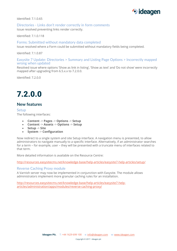

Identified: 7.1.0.65

### Directories - Links don't render correctly in form comments

Issue resolved preventing links render correctly.

Identified: 7.1.0.118

#### Forms: Submitted without mandatory data completed

Issue resolved where a Form could be submitted without mandatory fields being completed.

Identified: 7.1.0.87

### Easysite 7 Update: Directories > Summary and Listing Page Options > Incorrectly mapped wrong when updated

Resolved issue where options 'Show as link in listing', 'Show as text' and 'Do not show' were incorrectly mapped after upgrading from 6.5.x.x to 7.2.0.0.

Identified: 7.2.0.0



## **New features**

**Setup** 

The following interfaces:

- **Content** -> **Pages** -> **Options** -> **Setup**
- **Content** -> **Assets** -> **Options** -> **Setup**
- **Setup** -> **Site**
- **System** -> **Configuration**

Now redirect to a single system and site Setup interface. A navigation menu is presented, to allow administrators to navigate manually to a specific interface. Alternatively, if an administrator searches for a term – for example, user – they will be presented with a truncate menu of interfaces related to that term.

More detailed information is available on the Resource Centre:

<http://resources.easysitecms.net/knowledge-base/help-articles/easysite7-help-articles/setup/>

### Reverse Caching Proxy module

A Varnish server may now be implemented in conjunction with Easysite. The module allows administrators implement more granular caching rules for an installation.

[http://resources.easysitecms.net/knowledge-base/help-articles/easysite7-help](http://resources.easysitecms.net/knowledge-base/help-articles/easysite7-help-articles/administration/apps/modules/reverse-caching-proxy/)[articles/administration/apps/modules/reverse-caching-proxy/](http://resources.easysitecms.net/knowledge-base/help-articles/easysite7-help-articles/administration/apps/modules/reverse-caching-proxy/)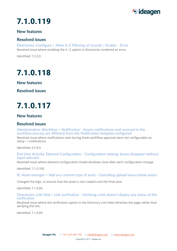

## **New features**

## **Resolved issues**

Directories: Configure > Allow A-Z Filtering of records > Enable – Error Resolved issue where enabling the A –Z option in Directories rendered an error

Identified: 7.2.0.0

# 7.1.0.118

**New features**

**Resolved issues**

# 7.1.0.117

## **New features**

## **Resolved issues**

Administration: Workflow > Notification - Assets notifications mail received in the workflow process are different from the Notification template configured

Resolved issue where notifications sent during Asset workflow approval were not configurable via setup -> notifications.

Identified: 6.5.9.9

### End User Activity: Element Configuration - Configuration settings boxes disappear without input selected

Resolved issue where element configuration modal windows close after each configuration change.

Identified: 7.1.0.100

IE: Asset manager > Add any content type of asset - Cancelling upload leaves blank assets

Changed the logic, to ensure that the asset is not created until the final save.

Identified: 7.1.0.66

Directories: Link field > Link verification - Verifying a link doesn't display any status of the verification

Resolved issue where the verification option in the Directory Link Field refreshes the page rather than verifying the link.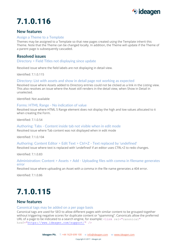

## **New features**

### Assign a Theme to a Template

Themes may be assigned to a Template so that new pages created using the Template inherit this Theme. Note that the Theme can be changed locally. In addition, the Theme will update if the Theme of a parent page is subsequently cascaded.

## **Resolved issues**

### Directory > Field Titles not displaying since update

Resolved issue where the field labels are not displaying in detail view.

Identified: 7.1.0.115

### Directory: List with assets and show in detail page not working as expected

Resolved issue where Assets added to Directory entries could not be clicked as a link in the Listing view. This also resolves an issue where the Asset still renders in the detail view, when Show in Detail in unselected.

Identified: Not available

#### Forms: HTML Range - No indication of value

Resolved issue where HTML 5 Range element does not display the high and low values allocated to it when creating the Form.

Identified: 7.1.0.54

### Authoring: Tabs - Content inside tab not visible when in edit mode

Resolved issue where Tab content was not displayed when in edit mode

Identified: 7.1.0.104

### Authoring: Content Editor > Edit Text > Ctrl+Z - Text replaced by 'undefined'

Resolved issue where text is replaced with 'undefined' if an editor uses CTRL+Z to redo changes.

Identified: 7.1.0.83

### Administration: Content > Assets > Add - Uploading files with comma in filename generates error

Resolved issue where uploading an Asset with a comma in the file name generates a 404 error.

Identified: 7.1.0.86

# 7.1.0.115

## **New features**

#### Canonical tags may be added on a per page basis

Canonical tags are used for SEO to allow different pages with similar content to be grouped together without triggering negative scores for duplicate content or "spamming". Canonicals allow the preferred URL of a page to be indicated to a search engine, for example:  $\langle$ link rel="canonical" href=["https://www.ideagen.com/support/"](https://www.ideagen.com/support/) />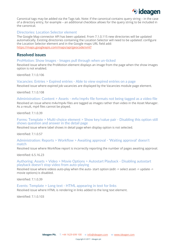

Canonical tags may be added via the Tags tab. Note: if the canonical contains query string – in the case of a directory entry, for example – an additional checkbox allows for the query string to be included in the canonical.

#### Directories: Location Selector element

The Google Map connector API has been updated. From 7.1.0.115 new directories will be updated automatically. Existing directories containing the Location Selector will need to be updated: configure the Location Selector element and in the Google maps URL field add: <https://maps.googleapis.com/maps/api/geocode/xml?>

## **Resolved issues**

#### ProMotion: Show Images - Images pull through when un-ticked

Resolved issue where the ProMotion element displays an image from the page when the show images option is not enabled.

Identified: 7.1.0.106

### Vacancies: Entries > Expired entries - Able to view expired entries on a page

Resolved issue where expired job vacancies are displayed by the Vacancies module page element.

Identified: 7.1.0.108

#### Administration: Content > Assets - m4v/mp4v file formats not being tagged as a video file

Resolved an issue where m4v/mp4v files are tagged as images rather than video in the Asset Manager. As a result, mp4 files cannot be played.

Identified: 7.1.0.39

Forms: Template > Multi-choice element > Show key/value pair - Disabling this option still shows question and answer in the detail page

Resolved issue where label shows in detail page when display option is not selected.

Identified: 7.1.0.57

#### Administration: Reports > Workflow > Awaiting approval - 'Waiting approval' doesn't match

Resolved issue where Workflow report is incorrectly reporting the number of pages awaiting approval.

Identified: 6.5.16.23

#### Authoring: Assets > Video > Movie Options > Autostart Playback - Disabling autostart playback doesn't stop video from auto-playing

Resolved issue where videos auto-play when the auto- start option (edit -> select asset -> update -> movie options) is disabled.

Identified: 7.1.0.39

#### Events: Template > Long text - HTML appearing in text for links Resolved issue where HTML is rendering in links added to the long text element.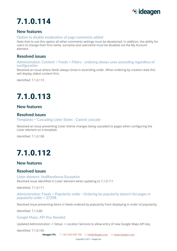

## **New features**

### Option to disable moderation of page comments added

Note that to use this option all other comments settings must be deselected. In addition, the ability for users to change their first name, surname and username must be disabled via the My Account element.

## **Resolved issues**

Administration: Content > Feeds > Filters - ordering always uses ascending regardless of configuration

Resolved an issue where feeds always show in ascending order. When ordering by creation date this will display oldest content first.

Identified: 7.1.0.113

# 7.1.0.113

## **New features**

## **Resolved issues**

Templates > Cascading Lister Styles - Cannot cascade

Resolved an issue preventing Lister theme changes being cascaded to pages when configuring the Lister element on a template.

Identified: 7.1.0.108

# 7.1.0.112

## **New features**

## **Resolved issues**

Lister element: NullRerefence Exception Resolved issue identified in Lister element when updating to 7.1.0.111

Identified: 7.1.0.111

Administration: Feeds > Popularity order - Ordering by popularity doesn't list pages in popularity order > 27298

Resolved issue preventing items in feeds ordered by popularity from displaying in order of popularity.

Identified: 7.1.0.80

Google Maps: API Key Needed

Updated Administration -> Setup -> Location Services to allow entry of new Google Maps API key.

Identified: 7.1.0.105

**Ideagen Plc.** T: +44 1629 699 100 e: [info@ideagen.com](mailto:info@ideagen.com) w: [www.ideagen.com](http://www.ideagenplc.com/)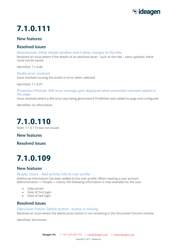

## **New features**

## **Resolved issues**

Attachments: Inline details window won't allow changes to the title

Resolved an issue where if the details of an attached asset – such as the title – were updated, these could not be saved.

Identified: 7.1.0.40

Studio error resolved Issue resolved causing the studio to error when selected;

Identified: 7.1.0.97

Promotion Module: 404 error message gets displayed when promotion element added to the page

Issue resolved where a 404 error was being generated if ProMotion was added to page and configured.

Identified: no information



Note: 7.1.0.110 was not issued.

**New features**

**Resolved issues**

# 7.1.0.109

## **New features**

### People: Users - Add activity info to user profile

Additional information has been added to the user profile. When viewing a user account (Administration -> People -> Users), the following information is now available for the user:

- Date joined
- Date of first login
- Date of last login

## **Resolved issues**

### Discussion Forum: Delete button - button is missing

Resolved an issue where the delete posts button is not rendering in the Discussion Forums module.

Identified: Not known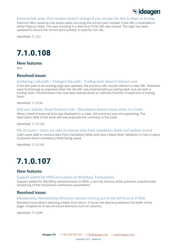

#### External link asset: Port number doesn't change if you change the link to https or to http

External URLs saved as Link Assets were not using the correct port number if the URL is amended to either https or https. This was resulting in a 404 error if the URL was clicked. The logic has been updated to ensure the correct port number is used for the URL.

Identified: 7.1.0.5

# 7.1.0.108

**New features**

N/A

## **Resolved issues**

### Authoring: Link path > Changed link path - Trailing slash doesn't redirect user

If the link path to an existing page was updated, the previous URL should redirect to new URL. Redirects were functioning as expected when the old URL was entered without trailing slash, but not with a trailing slash. The behaviour has now been standardized so redirects function irrespective of trailing slash.

Identified: 7.1.0.50

### End user activity: Asset External Link - Description doesn't show when in a Lister

When a feed of external links was displayed in a Lister, the summary was not populating. The description field of the asset will now populate the summary in the Lister.

Identified: 7.1.0.104

#### My Account > Users are able to remove data from mandatory fields and update record

Users were able to remove data from mandatory fields and save a blank field. Validation is now in place to prevent blank mandatory fields being saved.

Identified: 7.1.0.105

# 7.1.0.107

## **New features**

#### Support added for MD5 encryption on Worldpay Transactions

Support added for WorldPay enhancements to MD5, a security feature which prevents unauthorised tampering of the transaction submission parameters,

## **Resolved issues**

### Membership: Membership Directory element forcing out to the left from A-Z filter

Resolved issue where selecting a letter from the A –Z forces the directory element full width of the page, irrespective of any structure elements such as columns.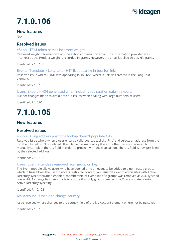

### **New features**

N/A

## **Resolved issues**

### eShop: ITEM token passes incorrect weight

Removed weight information from the eShop confirmation email. The information provided was incorrect as the Product weight is recorded in grams. However, the email labelled this as kilograms.

Identified: 7.1.0.100

### Events: Template > Long text - HTML appearing in text for links

Resolved issue where HTML was appearing in link text, where a link was created in the Long Text element.

Identified: 7.1.0.103

### Users: Export – 404 generated when including registration data in export.

Further changes made to avoid time out issues when dealing with large numbers of users.

Identified: 7.1.0.66

# 7.1.0.105

## **New features**

## **Resolved issues**

### eShop: Billing address postcode lookup doesn't populate City

Resolved issue where when a user enters a valid postcode, clicks 'Find' and selects an address from the list, the City field isn't populated. The City field is mandatory therefore the user was required to manually complete the city field in order to proceed with the transaction. The city field is now pre-filled by the selected address.

Identified: 7.1.0.103

### Users: Event attendees removed from group on login

The Event module allows users who have booked onto an event to be added to a nominated group, which in turn allows the user to access restricted content. An issue was identified on sites with Active Directory synchronization enabled: membership of event specific groups was removed as A.D. synched overnight. A change has been made to ensure that only groups created in A.D. are updated during Active Directory synching.

Identified: 7.1.0.103

### My Account - Unable to change country

Issue resolved where changes to the country field of the My Account element where not being saved.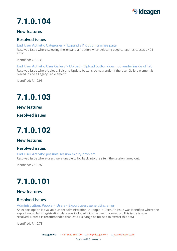

## **New features**

## **Resolved issues**

## End User Activity: Categories - "Expand all" option crashes page

Resolved issue where selecting the 'expand all' option when selecting page categories causes a 404 error.

Identified: 7.1.0.38

End User Activity: User Gallery > Upload - Upload button does not render inside of tab Resolved issue where Upload, Edit and Update buttons do not render if the User Gallery element is placed inside a Legacy Tab element.

Identified: 7.1.0.93

# 7.1.0.103

**New features**

**Resolved issues**

# 7.1.0.102

## **New features**

## **Resolved issues**

End User Activity: possible session expiry problem Resolved issue where users were unable to log back into the site if the session timed out.

Identified: 7.1.0.97

# 7.1.0.101

## **New features**

## **Resolved issues**

Administration: People > Users - Export users generating error

An export option is available under Administration -> People -> User. An issue was identified where the export would fail if registration .data was included with the user information. This issue is now resolved. Note: it is recommended that Data Exchange be utilised to extract this data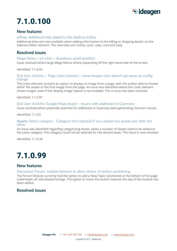

## **New features**

### eShop: Additional title added to the Address Editor

Additional titles are now available when adding information to the billing or shipping details via the Address Editor element. The new titles are: Dame, Lord, Lady, Lord and Lady.

## **Resolved issues**

#### Mega Menu > on-click > dropdown panel position

Issue resolved where large Mega Menus where expanding off the right-hand side of the screen.

Identified: 7.1.0.93

### End User Activity > Page Lister (classic) > show-images class doesn't go away on config change

The Lister element contains an option to display an image from a page, with the author able to choose either the avatar or the first image from the page. An issue was identified where the Lister element shows images, even if the 'display image' option is not enabled. This is issue has been resolved.

Identified: 7.1.0.97

#### End User Activity: Google Maps plugin – issues with addresses in Guernsey

Issue resolved where postcode searches for addresses in Guernsey were generating incorrect results.

Identified: 7.1.0.0

#### **Assets:** Select category - Category isn't selected if you upload two assets one after the other

An issue was identified regarding categorizing Assets, when a number of Assets need to be added to the same category: The category could not be selected for the second asset. This issue is now resolved.

Identified: 7.1.0.38

# 7.1.0.99

## **New features**

### Discussion Forum: module element to allow choice of button positioning

The Forum Module currently had the option to add a 'New Topic' positioned at the bottom of the page underneath all noticeboard listings. The option to move this button towards the top of the module has been added.

## **Resolved issues**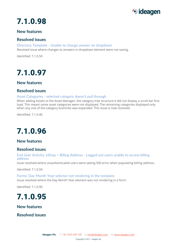

## **New features**

## **Resolved issues**

Directory Template - Unable to change answer on dropdown Resolved issue where changes to answers in dropdown element were not saving.

Identified: 7.1.0.50

# 7.1.0.97

## **New features**

## **Resolved issues**

### Asset Categories - selected category doesn't pull through

When adding Assets to the Asset Manager, the category tree structure it did not display a scroll bar first load. This meant some asset categories were not displayed. The remaining categories displayed only when any one of the category branches was expanded. This issue is now resolved.

Identified: 7.1.0.40

# 7.1.0.96

## **New features**

## **Resolved issues**

### End User Activity: eShop > Billing Address - Logged out users unable to access billing address

Issue resolved where unauthenticated users were seeing 500 error when populating billing address.

Identified: 7.1.0.94

### Forms: Day Month Year selector not rendering in the template Issue resolved where the Day Month Year element was not rendering in a form.

Identified: 7.1.0.90



## **New features**

**Resolved issues**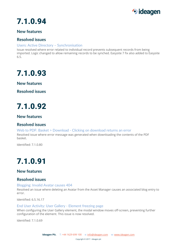

## **New features**

## **Resolved issues**

### Users: Active Directory – Synchronisation

Issue resolved where error related to individual record prevents subsequent records from being imported. Logic changed to allow remaining records to be synched. Easysite 7 fix also added to Easysite 6.5.

# 7.1.0.93

**New features**

**Resolved issues**

# 7.1.0.92

## **New features**

## **Resolved issues**

Web to PDF: Basket > Download - Clicking on download returns an error Resolved issue where error message was generated when downloading the contents of the PDF basket.

Identified: 7.1.0.80

# 7.1.0.91

## **New features**

## **Resolved issues**

Blogging: Invalid Avatar causes 404

Resolved an issue where deleting an Avatar from the Asset Manager causes an associated blog entry to error.

Identified: 6.5.16.17

### End User Activity: User Gallery - Element freezing page

When configuring the User Gallery element, the modal window moves off-screen, preventing further configuration of the element. This issue is now resolved.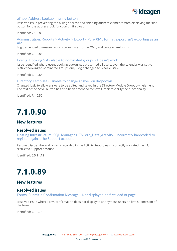

### eShop: Address Lookup missing button

Resolved issue preventing the billing address and shipping address elements from displaying the 'find' button for the address look function on first load.

Identified: 7.1.0.86

### Administration: Reports > Activity > Export - Pure XML format export isn't exporting as an XML

Logic amended to ensure reports correctly export as XML, and contain .xml suffix

Identified: 7.1.0.86

#### Events: Booking > Available to nominated groups - Doesn't work

Issue identified where event booking button was presented all users, even the calendar was set to restrict booking to nominated groups only. Logic changed to resolve issue

Identified: 7.1.0.88

#### Directory Template - Unable to change answer on dropdown

Changed logic to allow answers to be edited and saved in the Directory Module Dropdown element. The text of the 'Save' button has also been amended to 'Save Order' to clarify the functionality.

Identified: 7.1.0.50

# 7.1.0.90

## **New features**

### **Resolved issues**

Hosting Infrastructure: SQL Manager > ESCore\_Data\_Activity - Incorrectly hardcoded to register against the Support account

Resolved issue where all activity recorded in the Activity Report was incorrectly allocated the I.P. restricted Support account.

Identified: 6.5.11.12

# 7.1.0.89

## **New features**

### **Resolved issues**

Forms: Submit > Confirmation Message - Not displayed on first load of page

Resolved issue where Form confirmation does not display to anonymous users on first submission of the form.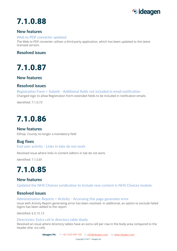

## **New features**

### Web to PDF converter updated

The Web to PDF converter utilises a third-party application, which has been updated to the latest licensed version.

## **Resolved issues**

7.1.0.87

## **New features**

## **Resolved issues**

Registration Form > Submit - Additional fields not included in email notification Changed logic to allow Registration Form extended fields to be included in notification emails.

Identified: 7.1.0.73

# 7.1.0.86

## **New features**

EShop: County no longer a mandatory field

## **Bug fixes**

### End user activity - Links in tabs do not work

Resolved issue where links in content editors in tab do not work.

Identified: 7.1.0.81

## 7.1.0.85

## **New features**

Updated the NHS Choices syndication to include new content in NHS Choices module.

## **Resolved issues**

Administration: Reports > Activity - Accessing this page generates error

Issue with Activity Report generating error has been resolved. In additional, an option to exclude failed logins has been added to the report.

Identified: 6.5.15.13

### Directories: Extra cell in directory table tbody

Resolved an issue where directory tables have an extra cell per row in the body area compared to the header (the .ico cell).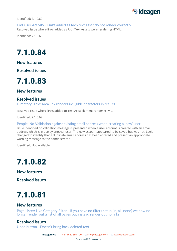

Identified: 7.1.0.69

End User Activity - Links added as Rich text asset do not render correctly Resolved issue where links added as Rich Text Assets were rendering HTML.

Identified: 7.1.0.69

# 7.1.0.84

**New features**

**Resolved issues**



**New features**

## **Resolved issues**

Directory: Text Area link renders ineligible characters in results

Resolved issue where links added to Text Area element render HTML.

Identified: 7.1.0.69

People: No Validation against existing email address when creating a 'new' user

Issue identified no validation message is presented when a user account is created with an email address which is in use by another user. The new account appeared to be saved but was not. Logic changed to identify that a duplicate email address has been entered and present an appropriate warning message to the administrator.

Identified: Not available

## 7.1.0.82

**New features**

**Resolved issues**



## **New features**

Page Lister: Live Category Filter - If you have no filters setup (in, all, none) we now no longer render out a list of all pages but instead render out no links.

## **Resolved issues**

Undo button - Doesn't bring back deleted text